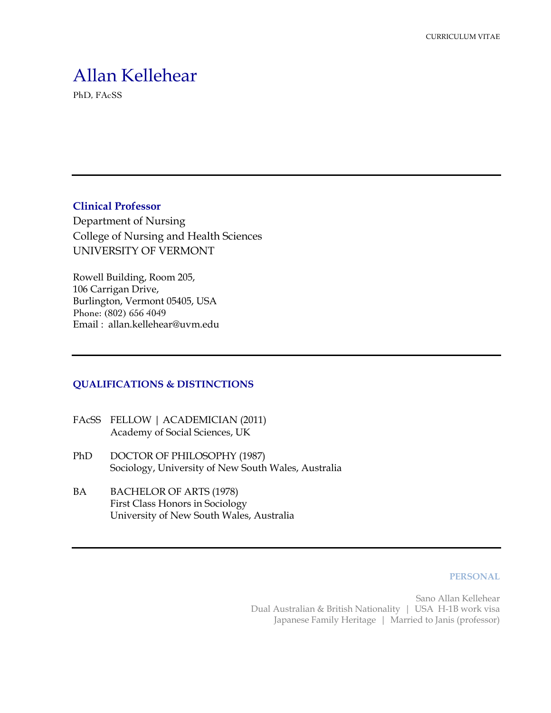# Allan Kellehear

PhD, FAcSS

**Clinical Professor**

Department of Nursing College of Nursing and Health Sciences UNIVERSITY OF VERMONT

Rowell Building, Room 205, 106 Carrigan Drive, Burlington, Vermont 05405, USA Phone: (802) 656 4049 Email : allan.kellehear@uvm.edu

# **QUALIFICATIONS & DISTINCTIONS**

- FAcSS FELLOW | ACADEMICIAN (2011) Academy of Social Sciences, UK
- PhD DOCTOR OF PHILOSOPHY (1987) Sociology, University of New South Wales, Australia
- BA BACHELOR OF ARTS (1978) First Class Honors in Sociology University of New South Wales, Australia

#### **PERSONAL**

Sano Allan Kellehear Dual Australian & British Nationality | USA H-1B work visa Japanese Family Heritage | Married to Janis (professor)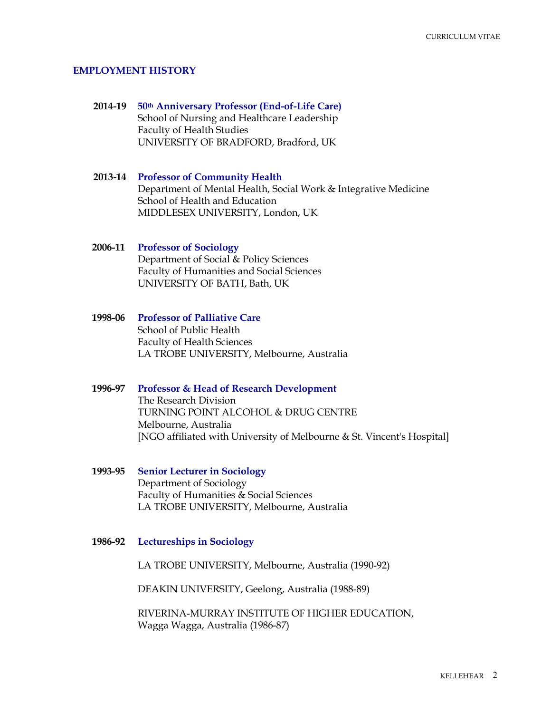#### **EMPLOYMENT HISTORY**

**2014-19 50th Anniversary Professor (End-of-Life Care)** School of Nursing and Healthcare Leadership Faculty of Health Studies UNIVERSITY OF BRADFORD, Bradford, UK

# **2013-14 Professor of Community Health** Department of Mental Health, Social Work & Integrative Medicine School of Health and Education MIDDLESEX UNIVERSITY, London, UK

### **2006-11 Professor of Sociology** Department of Social & Policy Sciences Faculty of Humanities and Social Sciences UNIVERSITY OF BATH, Bath, UK

**1998-06 Professor of Palliative Care** School of Public Health Faculty of Health Sciences LA TROBE UNIVERSITY, Melbourne, Australia

# **1996-97 Professor & Head of Research Development**

The Research Division TURNING POINT ALCOHOL & DRUG CENTRE Melbourne, Australia [NGO affiliated with University of Melbourne & St. Vincent's Hospital]

**1993-95 Senior Lecturer in Sociology** Department of Sociology Faculty of Humanities & Social Sciences LA TROBE UNIVERSITY, Melbourne, Australia

#### **1986-92 Lectureships in Sociology**

LA TROBE UNIVERSITY, Melbourne, Australia (1990-92)

DEAKIN UNIVERSITY, Geelong, Australia (1988-89)

RIVERINA-MURRAY INSTITUTE OF HIGHER EDUCATION, Wagga Wagga, Australia (1986-87)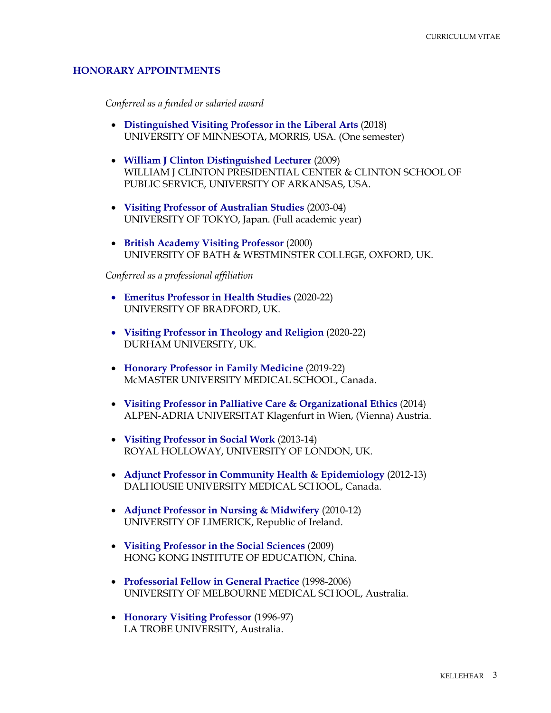#### **HONORARY APPOINTMENTS**

*Conferred as a funded or salaried award*

- **Distinguished Visiting Professor in the Liberal Arts** (2018) UNIVERSITY OF MINNESOTA, MORRIS, USA. (One semester)
- **William J Clinton Distinguished Lecturer** (2009) WILLIAM J CLINTON PRESIDENTIAL CENTER & CLINTON SCHOOL OF PUBLIC SERVICE, UNIVERSITY OF ARKANSAS, USA.
- **Visiting Professor of Australian Studies** (2003-04) UNIVERSITY OF TOKYO, Japan. (Full academic year)
- **British Academy Visiting Professor** (2000) UNIVERSITY OF BATH & WESTMINSTER COLLEGE, OXFORD, UK.

*Conferred as a professional affiliation*

- **Emeritus Professor in Health Studies** (2020-22) UNIVERSITY OF BRADFORD, UK.
- **Visiting Professor in Theology and Religion** (2020-22) DURHAM UNIVERSITY, UK.
- **Honorary Professor in Family Medicine** (2019-22) McMASTER UNIVERSITY MEDICAL SCHOOL, Canada.
- **Visiting Professor in Palliative Care & Organizational Ethics** (2014) ALPEN-ADRIA UNIVERSITAT Klagenfurt in Wien, (Vienna) Austria.
- **Visiting Professor in Social Work** (2013-14) ROYAL HOLLOWAY, UNIVERSITY OF LONDON, UK.
- **Adjunct Professor in Community Health & Epidemiology** (2012-13) DALHOUSIE UNIVERSITY MEDICAL SCHOOL, Canada.
- **Adjunct Professor in Nursing & Midwifery** (2010-12) UNIVERSITY OF LIMERICK, Republic of Ireland.
- **Visiting Professor in the Social Sciences** (2009) HONG KONG INSTITUTE OF EDUCATION, China.
- **Professorial Fellow in General Practice** (1998-2006) UNIVERSITY OF MELBOURNE MEDICAL SCHOOL, Australia.
- **Honorary Visiting Professor** (1996-97) LA TROBE UNIVERSITY, Australia.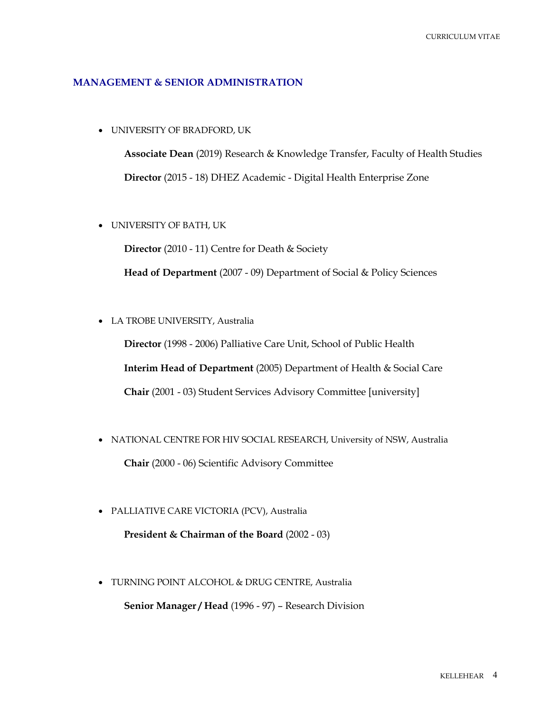#### **MANAGEMENT & SENIOR ADMINISTRATION**

• UNIVERSITY OF BRADFORD, UK

**Associate Dean** (2019) Research & Knowledge Transfer, Faculty of Health Studies **Director** (2015 - 18) DHEZ Academic - Digital Health Enterprise Zone

• UNIVERSITY OF BATH, UK

**Director** (2010 - 11) Centre for Death & Society

**Head of Department** (2007 - 09) Department of Social & Policy Sciences

• LA TROBE UNIVERSITY, Australia

**Director** (1998 - 2006) Palliative Care Unit, School of Public Health **Interim Head of Department** (2005) Department of Health & Social Care **Chair** (2001 - 03) Student Services Advisory Committee [university]

- NATIONAL CENTRE FOR HIV SOCIAL RESEARCH, University of NSW, Australia **Chair** (2000 - 06) Scientific Advisory Committee
- PALLIATIVE CARE VICTORIA (PCV), Australia

**President & Chairman of the Board** (2002 - 03)

• TURNING POINT ALCOHOL & DRUG CENTRE, Australia **Senior Manager / Head** (1996 - 97) – Research Division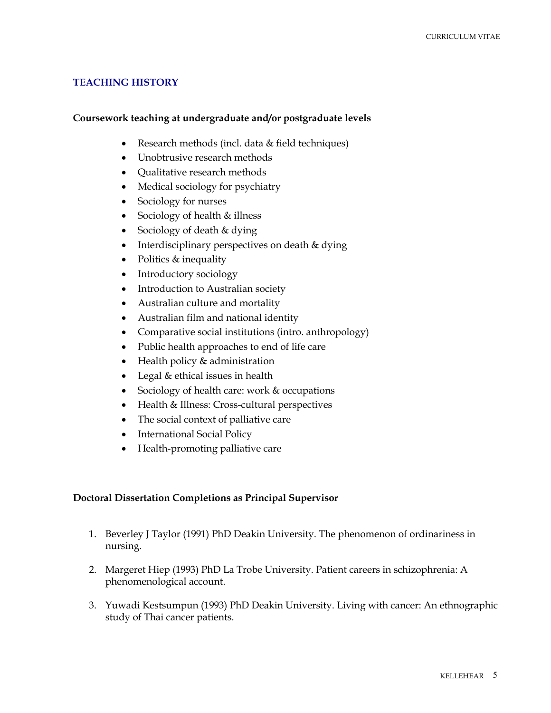### **TEACHING HISTORY**

#### **Coursework teaching at undergraduate and/or postgraduate levels**

- Research methods (incl. data & field techniques)
- Unobtrusive research methods
- Qualitative research methods
- Medical sociology for psychiatry
- Sociology for nurses
- Sociology of health & illness
- Sociology of death & dying
- Interdisciplinary perspectives on death & dying
- Politics & inequality
- Introductory sociology
- Introduction to Australian society
- Australian culture and mortality
- Australian film and national identity
- Comparative social institutions (intro. anthropology)
- Public health approaches to end of life care
- Health policy & administration
- Legal & ethical issues in health
- Sociology of health care: work & occupations
- Health & Illness: Cross-cultural perspectives
- The social context of palliative care
- International Social Policy
- Health-promoting palliative care

#### **Doctoral Dissertation Completions as Principal Supervisor**

- 1. Beverley J Taylor (1991) PhD Deakin University. The phenomenon of ordinariness in nursing.
- 2. Margeret Hiep (1993) PhD La Trobe University. Patient careers in schizophrenia: A phenomenological account.
- 3. Yuwadi Kestsumpun (1993) PhD Deakin University. Living with cancer: An ethnographic study of Thai cancer patients.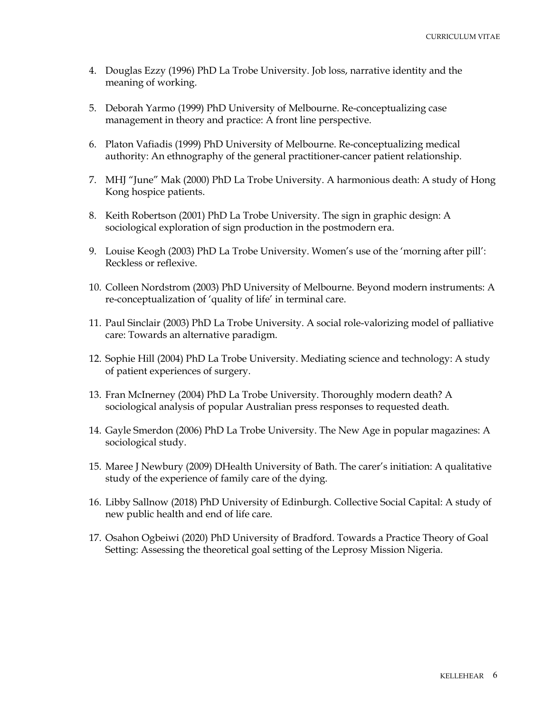- 4. Douglas Ezzy (1996) PhD La Trobe University. Job loss, narrative identity and the meaning of working.
- 5. Deborah Yarmo (1999) PhD University of Melbourne. Re-conceptualizing case management in theory and practice: A front line perspective.
- 6. Platon Vafiadis (1999) PhD University of Melbourne. Re-conceptualizing medical authority: An ethnography of the general practitioner-cancer patient relationship.
- 7. MHJ "June" Mak (2000) PhD La Trobe University. A harmonious death: A study of Hong Kong hospice patients.
- 8. Keith Robertson (2001) PhD La Trobe University. The sign in graphic design: A sociological exploration of sign production in the postmodern era.
- 9. Louise Keogh (2003) PhD La Trobe University. Women's use of the 'morning after pill': Reckless or reflexive.
- 10. Colleen Nordstrom (2003) PhD University of Melbourne. Beyond modern instruments: A re-conceptualization of 'quality of life' in terminal care.
- 11. Paul Sinclair (2003) PhD La Trobe University. A social role-valorizing model of palliative care: Towards an alternative paradigm.
- 12. Sophie Hill (2004) PhD La Trobe University. Mediating science and technology: A study of patient experiences of surgery.
- 13. Fran McInerney (2004) PhD La Trobe University. Thoroughly modern death? A sociological analysis of popular Australian press responses to requested death.
- 14. Gayle Smerdon (2006) PhD La Trobe University. The New Age in popular magazines: A sociological study.
- 15. Maree J Newbury (2009) DHealth University of Bath. The carer's initiation: A qualitative study of the experience of family care of the dying.
- 16. Libby Sallnow (2018) PhD University of Edinburgh. Collective Social Capital: A study of new public health and end of life care.
- 17. Osahon Ogbeiwi (2020) PhD University of Bradford. Towards a Practice Theory of Goal Setting: Assessing the theoretical goal setting of the Leprosy Mission Nigeria.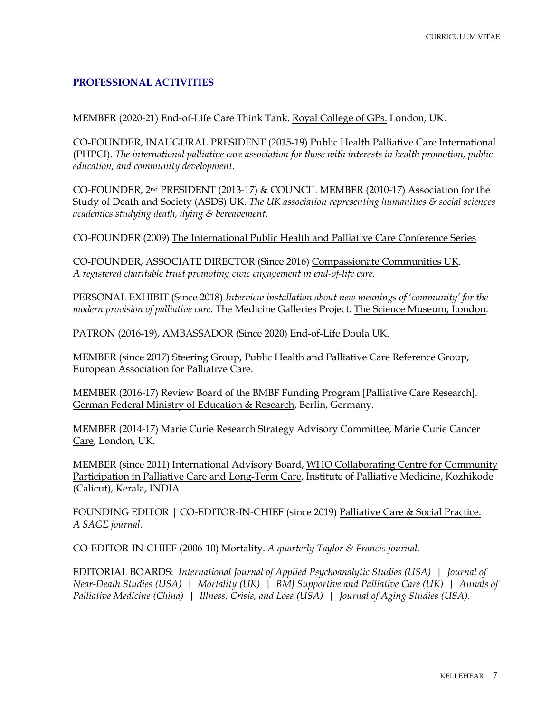## **PROFESSIONAL ACTIVITIES**

MEMBER (2020-21) End-of-Life Care Think Tank. Royal College of GPs. London, UK.

CO-FOUNDER, INAUGURAL PRESIDENT (2015-19) Public Health Palliative Care International (PHPCI). *The international palliative care association for those with interests in health promotion, public education, and community development.*

CO-FOUNDER, 2nd PRESIDENT (2013-17) & COUNCIL MEMBER (2010-17) Association for the Study of Death and Society (ASDS) UK. *The UK association representing humanities & social sciences academics studying death, dying & bereavement.*

CO-FOUNDER (2009) The International Public Health and Palliative Care Conference Series

CO-FOUNDER, ASSOCIATE DIRECTOR (Since 2016) Compassionate Communities UK. *A registered charitable trust promoting civic engagement in end-of-life care.*

PERSONAL EXHIBIT (Since 2018) *Interview installation about new meanings of 'community' for the modern provision of palliative care*. The Medicine Galleries Project. The Science Museum, London.

PATRON (2016-19), AMBASSADOR (Since 2020) End-of-Life Doula UK.

MEMBER (since 2017) Steering Group, Public Health and Palliative Care Reference Group, European Association for Palliative Care.

MEMBER (2016-17) Review Board of the BMBF Funding Program [Palliative Care Research]. German Federal Ministry of Education & Research, Berlin, Germany.

MEMBER (2014-17) Marie Curie Research Strategy Advisory Committee, Marie Curie Cancer Care, London, UK.

MEMBER (since 2011) International Advisory Board, WHO Collaborating Centre for Community Participation in Palliative Care and Long-Term Care, Institute of Palliative Medicine, Kozhikode (Calicut), Kerala, INDIA.

FOUNDING EDITOR | CO-EDITOR-IN-CHIEF (since 2019) Palliative Care & Social Practice. *A SAGE journal.*

CO-EDITOR-IN-CHIEF (2006-10) Mortality. *A quarterly Taylor & Francis journal.*

EDITORIAL BOARDS: *International Journal of Applied Psychoanalytic Studies (USA) | Journal of Near-Death Studies (USA) | Mortality (UK) | BMJ Supportive and Palliative Care (UK) | Annals of Palliative Medicine (China) | Illness, Crisis, and Loss (USA) | Journal of Aging Studies (USA).*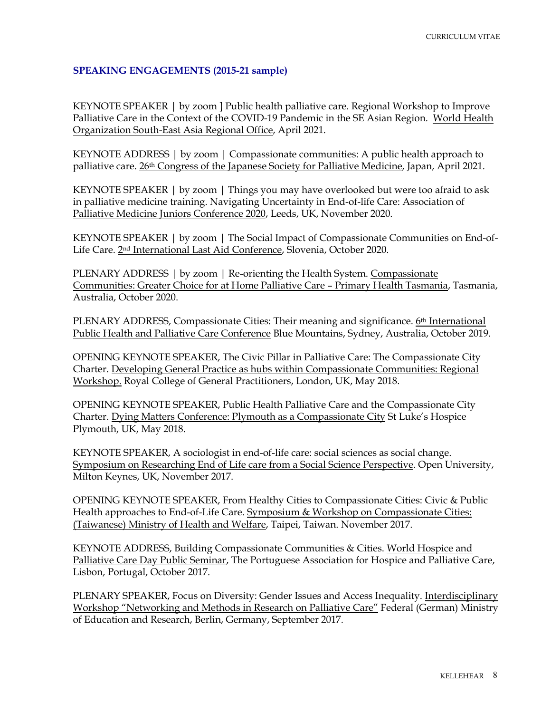# **SPEAKING ENGAGEMENTS (2015-21 sample)**

KEYNOTE SPEAKER | by zoom ] Public health palliative care. Regional Workshop to Improve Palliative Care in the Context of the COVID-19 Pandemic in the SE Asian Region. World Health Organization South-East Asia Regional Office, April 2021.

KEYNOTE ADDRESS | by zoom | Compassionate communities: A public health approach to palliative care. 26th Congress of the Japanese Society for Palliative Medicine, Japan, April 2021.

KEYNOTE SPEAKER | by zoom | Things you may have overlooked but were too afraid to ask in palliative medicine training. Navigating Uncertainty in End-of-life Care: Association of Palliative Medicine Juniors Conference 2020, Leeds, UK, November 2020.

KEYNOTE SPEAKER | by zoom | The Social Impact of Compassionate Communities on End-of-Life Care. 2nd International Last Aid Conference, Slovenia, October 2020.

PLENARY ADDRESS | by zoom | Re-orienting the Health System. Compassionate Communities: Greater Choice for at Home Palliative Care – Primary Health Tasmania, Tasmania, Australia, October 2020.

PLENARY ADDRESS, Compassionate Cities: Their meaning and significance. 6th International Public Health and Palliative Care Conference Blue Mountains, Sydney, Australia, October 2019.

OPENING KEYNOTE SPEAKER, The Civic Pillar in Palliative Care: The Compassionate City Charter. Developing General Practice as hubs within Compassionate Communities: Regional Workshop. Royal College of General Practitioners, London, UK, May 2018.

OPENING KEYNOTE SPEAKER, Public Health Palliative Care and the Compassionate City Charter. Dying Matters Conference: Plymouth as a Compassionate City St Luke's Hospice Plymouth, UK, May 2018.

KEYNOTE SPEAKER, A sociologist in end-of-life care: social sciences as social change. Symposium on Researching End of Life care from a Social Science Perspective. Open University, Milton Keynes, UK, November 2017.

OPENING KEYNOTE SPEAKER, From Healthy Cities to Compassionate Cities: Civic & Public Health approaches to End-of-Life Care. Symposium & Workshop on Compassionate Cities: (Taiwanese) Ministry of Health and Welfare, Taipei, Taiwan. November 2017.

KEYNOTE ADDRESS, Building Compassionate Communities & Cities. World Hospice and Palliative Care Day Public Seminar, The Portuguese Association for Hospice and Palliative Care, Lisbon, Portugal, October 2017.

PLENARY SPEAKER, Focus on Diversity: Gender Issues and Access Inequality. Interdisciplinary Workshop "Networking and Methods in Research on Palliative Care" Federal (German) Ministry of Education and Research, Berlin, Germany, September 2017.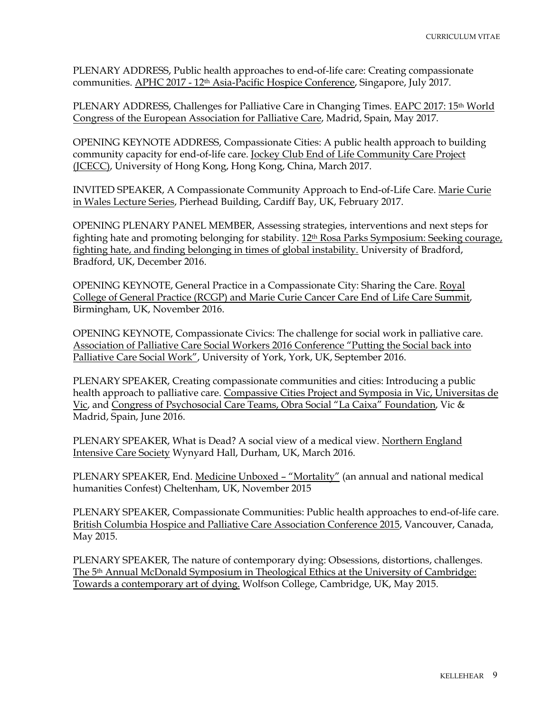PLENARY ADDRESS, Public health approaches to end-of-life care: Creating compassionate communities. APHC 2017 - 12th Asia-Pacific Hospice Conference, Singapore, July 2017.

PLENARY ADDRESS, Challenges for Palliative Care in Changing Times. EAPC 2017: 15<sup>th</sup> World Congress of the European Association for Palliative Care, Madrid, Spain, May 2017.

OPENING KEYNOTE ADDRESS, Compassionate Cities: A public health approach to building community capacity for end-of-life care. Jockey Club End of Life Community Care Project (JCECC), University of Hong Kong, Hong Kong, China, March 2017.

INVITED SPEAKER, A Compassionate Community Approach to End-of-Life Care. Marie Curie in Wales Lecture Series, Pierhead Building, Cardiff Bay, UK, February 2017.

OPENING PLENARY PANEL MEMBER, Assessing strategies, interventions and next steps for fighting hate and promoting belonging for stability. 12th Rosa Parks Symposium: Seeking courage, fighting hate, and finding belonging in times of global instability. University of Bradford, Bradford, UK, December 2016.

OPENING KEYNOTE, General Practice in a Compassionate City: Sharing the Care. Royal College of General Practice (RCGP) and Marie Curie Cancer Care End of Life Care Summit, Birmingham, UK, November 2016.

OPENING KEYNOTE, Compassionate Civics: The challenge for social work in palliative care. Association of Palliative Care Social Workers 2016 Conference "Putting the Social back into Palliative Care Social Work", University of York, York, UK, September 2016.

PLENARY SPEAKER, Creating compassionate communities and cities: Introducing a public health approach to palliative care. Compassive Cities Project and Symposia in Vic, Universitas de Vic, and Congress of Psychosocial Care Teams, Obra Social "La Caixa" Foundation, Vic & Madrid, Spain, June 2016.

PLENARY SPEAKER, What is Dead? A social view of a medical view. Northern England Intensive Care Society Wynyard Hall, Durham, UK, March 2016.

PLENARY SPEAKER, End. Medicine Unboxed – "Mortality" (an annual and national medical humanities Confest) Cheltenham, UK, November 2015

PLENARY SPEAKER, Compassionate Communities: Public health approaches to end-of-life care. British Columbia Hospice and Palliative Care Association Conference 2015, Vancouver, Canada, May 2015.

PLENARY SPEAKER, The nature of contemporary dying: Obsessions, distortions, challenges. The 5th Annual McDonald Symposium in Theological Ethics at the University of Cambridge: Towards a contemporary art of dying. Wolfson College, Cambridge, UK, May 2015.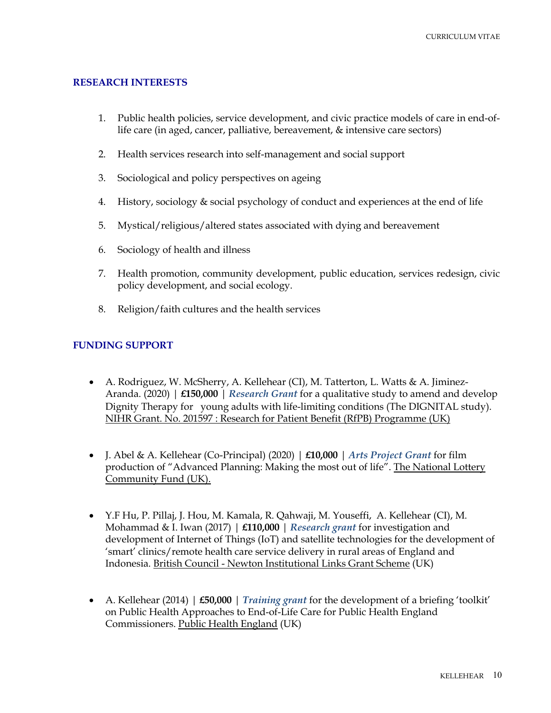# **RESEARCH INTERESTS**

- 1. Public health policies, service development, and civic practice models of care in end-oflife care (in aged, cancer, palliative, bereavement, & intensive care sectors)
- 2. Health services research into self-management and social support
- 3. Sociological and policy perspectives on ageing
- 4. History, sociology & social psychology of conduct and experiences at the end of life
- 5. Mystical/religious/altered states associated with dying and bereavement
- 6. Sociology of health and illness
- 7. Health promotion, community development, public education, services redesign, civic policy development, and social ecology.
- 8. Religion/faith cultures and the health services

# **FUNDING SUPPORT**

- A. Rodriguez, W. McSherry, A. Kellehear (CI), M. Tatterton, L. Watts & A. Jiminez-Aranda. (2020) | **£150,000** | *Research Grant* for a qualitative study to amend and develop Dignity Therapy for young adults with life-limiting conditions (The DIGNITAL study). NIHR Grant. No. 201597 : Research for Patient Benefit (RfPB) Programme (UK)
- J. Abel & A. Kellehear (Co-Principal) (2020) | **£10,000** | *Arts Project Grant* for film production of "Advanced Planning: Making the most out of life". The National Lottery Community Fund (UK).
- Y.F Hu, P. Pillaj, J. Hou, M. Kamala, R. Qahwaji, M. Youseffi, A. Kellehear (CI), M. Mohammad & I. Iwan (2017) | **£110,000** | *Research grant* for investigation and development of Internet of Things (IoT) and satellite technologies for the development of 'smart' clinics/remote health care service delivery in rural areas of England and Indonesia. British Council - Newton Institutional Links Grant Scheme (UK)
- A. Kellehear (2014) | **£50,000** | *Training grant* for the development of a briefing 'toolkit' on Public Health Approaches to End-of-Life Care for Public Health England Commissioners. Public Health England (UK)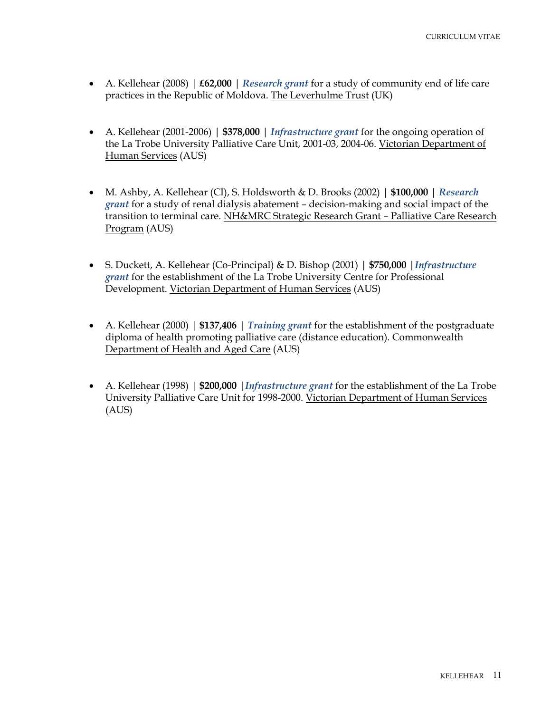- A. Kellehear (2008) | **£62,000** | *Research grant* for a study of community end of life care practices in the Republic of Moldova. The Leverhulme Trust (UK)
- A. Kellehear (2001-2006) | **\$378,000** | *Infrastructure grant* for the ongoing operation of the La Trobe University Palliative Care Unit, 2001-03, 2004-06. Victorian Department of Human Services (AUS)
- M. Ashby, A. Kellehear (CI), S. Holdsworth & D. Brooks (2002) | **\$100,000** | *Research grant* for a study of renal dialysis abatement – decision-making and social impact of the transition to terminal care. NH&MRC Strategic Research Grant – Palliative Care Research Program (AUS)
- S. Duckett, A. Kellehear (Co-Principal) & D. Bishop (2001) | **\$750,000** |*Infrastructure grant* for the establishment of the La Trobe University Centre for Professional Development. Victorian Department of Human Services (AUS)
- A. Kellehear (2000) | **\$137,406** | *Training grant* for the establishment of the postgraduate diploma of health promoting palliative care (distance education). Commonwealth Department of Health and Aged Care (AUS)
- A. Kellehear (1998) | **\$200,000** |*Infrastructure grant* for the establishment of the La Trobe University Palliative Care Unit for 1998-2000. Victorian Department of Human Services (AUS)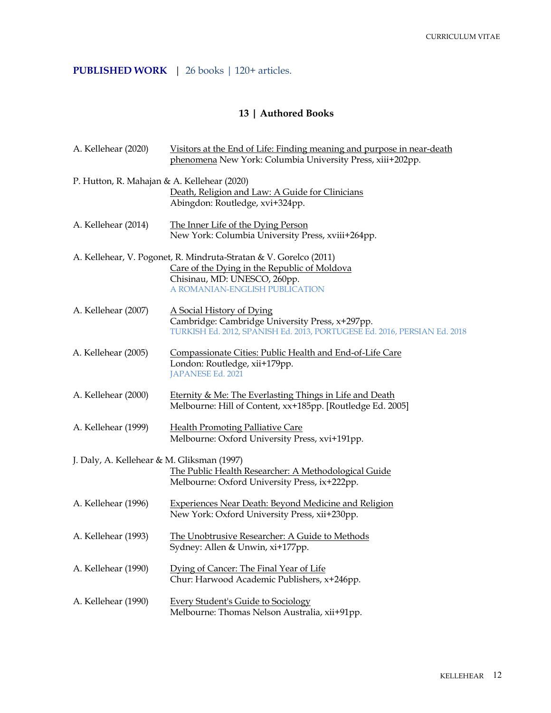# **PUBLISHED WORK** | 26 books | 120+ articles.

# **13 | Authored Books**

| A. Kellehear (2020)                                                                                                                                 | Visitors at the End of Life: Finding meaning and purpose in near-death<br>phenomena New York: Columbia University Press, xiii+202pp.                                                |
|-----------------------------------------------------------------------------------------------------------------------------------------------------|-------------------------------------------------------------------------------------------------------------------------------------------------------------------------------------|
| P. Hutton, R. Mahajan & A. Kellehear (2020)                                                                                                         | Death, Religion and Law: A Guide for Clinicians<br>Abingdon: Routledge, xvi+324pp.                                                                                                  |
| A. Kellehear (2014)                                                                                                                                 | The Inner Life of the Dying Person<br>New York: Columbia University Press, xviii+264pp.                                                                                             |
|                                                                                                                                                     | A. Kellehear, V. Pogonet, R. Mindruta-Stratan & V. Gorelco (2011)<br>Care of the Dying in the Republic of Moldova<br>Chisinau, MD: UNESCO, 260pp.<br>A ROMANIAN-ENGLISH PUBLICATION |
| A. Kellehear (2007)                                                                                                                                 | A Social History of Dying<br>Cambridge: Cambridge University Press, x+297pp.<br>TURKISH Ed. 2012, SPANISH Ed. 2013, PORTUGESE Ed. 2016, PERSIAN Ed. 2018                            |
| A. Kellehear (2005)                                                                                                                                 | Compassionate Cities: Public Health and End-of-Life Care<br>London: Routledge, xii+179pp.<br>JAPANESE Ed. 2021                                                                      |
| A. Kellehear (2000)                                                                                                                                 | <b>Eternity &amp; Me: The Everlasting Things in Life and Death</b><br>Melbourne: Hill of Content, xx+185pp. [Routledge Ed. 2005]                                                    |
| A. Kellehear (1999)                                                                                                                                 | <b>Health Promoting Palliative Care</b><br>Melbourne: Oxford University Press, xvi+191pp.                                                                                           |
| J. Daly, A. Kellehear & M. Gliksman (1997)<br>The Public Health Researcher: A Methodological Guide<br>Melbourne: Oxford University Press, ix+222pp. |                                                                                                                                                                                     |
| A. Kellehear (1996)                                                                                                                                 | <b>Experiences Near Death: Beyond Medicine and Religion</b><br>New York: Oxford University Press, xii+230pp.                                                                        |
| A. Kellehear (1993)                                                                                                                                 | The Unobtrusive Researcher: A Guide to Methods<br>Sydney: Allen & Unwin, xi+177pp.                                                                                                  |
| A. Kellehear (1990)                                                                                                                                 | Dying of Cancer: The Final Year of Life<br>Chur: Harwood Academic Publishers, x+246pp.                                                                                              |
| A. Kellehear (1990)                                                                                                                                 | <b>Every Student's Guide to Sociology</b><br>Melbourne: Thomas Nelson Australia, xii+91pp.                                                                                          |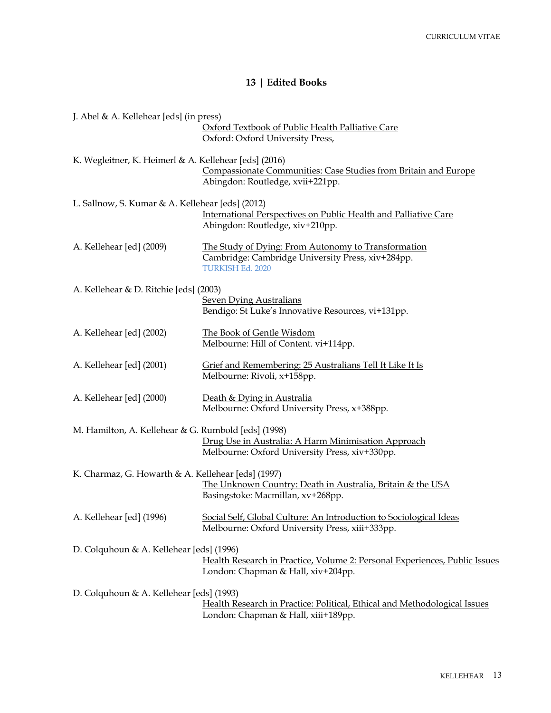# **13 | Edited Books**

| J. Abel & A. Kellehear [eds] (in press)               |                                                                                                                                     |
|-------------------------------------------------------|-------------------------------------------------------------------------------------------------------------------------------------|
|                                                       | Oxford Textbook of Public Health Palliative Care<br>Oxford: Oxford University Press,                                                |
| K. Wegleitner, K. Heimerl & A. Kellehear [eds] (2016) | Compassionate Communities: Case Studies from Britain and Europe<br>Abingdon: Routledge, xvii+221pp.                                 |
| L. Sallnow, S. Kumar & A. Kellehear [eds] (2012)      | International Perspectives on Public Health and Palliative Care<br>Abingdon: Routledge, xiv+210pp.                                  |
| A. Kellehear [ed] (2009)                              | The Study of Dying: From Autonomy to Transformation<br>Cambridge: Cambridge University Press, xiv+284pp.<br><b>TURKISH Ed. 2020</b> |
| A. Kellehear & D. Ritchie [eds] (2003)                | <b>Seven Dying Australians</b><br>Bendigo: St Luke's Innovative Resources, vi+131pp.                                                |
| A. Kellehear [ed] (2002)                              | The Book of Gentle Wisdom<br>Melbourne: Hill of Content. vi+114pp.                                                                  |
| A. Kellehear [ed] (2001)                              | Grief and Remembering: 25 Australians Tell It Like It Is<br>Melbourne: Rivoli, x+158pp.                                             |
| A. Kellehear [ed] (2000)                              | Death & Dying in Australia<br>Melbourne: Oxford University Press, x+388pp.                                                          |
| M. Hamilton, A. Kellehear & G. Rumbold [eds] (1998)   | Drug Use in Australia: A Harm Minimisation Approach<br>Melbourne: Oxford University Press, xiv+330pp.                               |
| K. Charmaz, G. Howarth & A. Kellehear [eds] (1997)    | The Unknown Country: Death in Australia, Britain & the USA<br>Basingstoke: Macmillan, xv+268pp.                                     |
| A. Kellehear [ed] (1996)                              | Social Self, Global Culture: An Introduction to Sociological Ideas<br>Melbourne: Oxford University Press, xiii+333pp.               |
| D. Colquhoun & A. Kellehear [eds] (1996)              | Health Research in Practice, Volume 2: Personal Experiences, Public Issues<br>London: Chapman & Hall, xiv+204pp.                    |
| D. Colquhoun & A. Kellehear [eds] (1993)              | Health Research in Practice: Political, Ethical and Methodological Issues<br>London: Chapman & Hall, xiii+189pp.                    |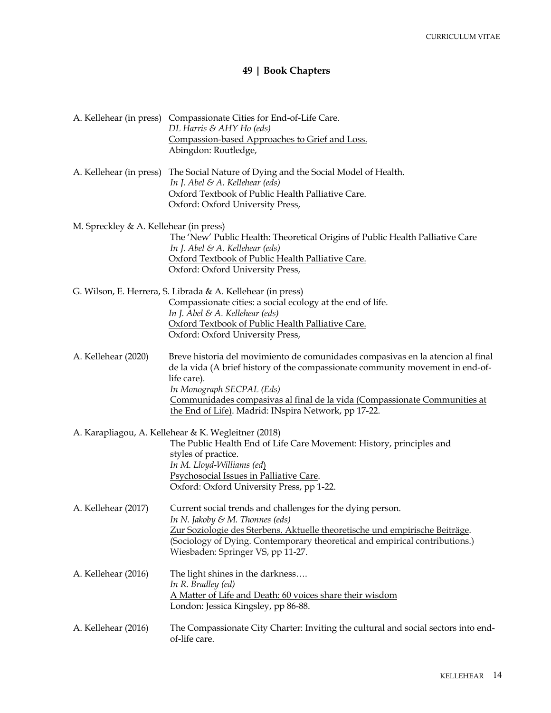# **49 | Book Chapters**

|                                        | A. Kellehear (in press) Compassionate Cities for End-of-Life Care.<br>DL Harris & AHY Ho (eds)<br>Compassion-based Approaches to Grief and Loss.<br>Abingdon: Routledge,                                                                                                                                                                           |
|----------------------------------------|----------------------------------------------------------------------------------------------------------------------------------------------------------------------------------------------------------------------------------------------------------------------------------------------------------------------------------------------------|
| A. Kellehear (in press)                | The Social Nature of Dying and the Social Model of Health.<br>In J. Abel & A. Kellehear (eds)<br>Oxford Textbook of Public Health Palliative Care.<br>Oxford: Oxford University Press,                                                                                                                                                             |
| M. Spreckley & A. Kellehear (in press) | The 'New' Public Health: Theoretical Origins of Public Health Palliative Care<br>In J. Abel & A. Kellehear (eds)<br>Oxford Textbook of Public Health Palliative Care.<br>Oxford: Oxford University Press,                                                                                                                                          |
|                                        | G. Wilson, E. Herrera, S. Librada & A. Kellehear (in press)<br>Compassionate cities: a social ecology at the end of life.<br>In J. Abel & A. Kellehear (eds)<br>Oxford Textbook of Public Health Palliative Care.<br>Oxford: Oxford University Press,                                                                                              |
| A. Kellehear (2020)                    | Breve historia del movimiento de comunidades compasivas en la atencion al final<br>de la vida (A brief history of the compassionate community movement in end-of-<br>life care).<br>In Monograph SECPAL (Eds)<br>Communidades compasivas al final de la vida (Compassionate Communities at<br>the End of Life). Madrid: INspira Network, pp 17-22. |
|                                        | A. Karapliagou, A. Kellehear & K. Wegleitner (2018)<br>The Public Health End of Life Care Movement: History, principles and<br>styles of practice.<br>In M. Lloyd-Williams (ed)<br>Psychosocial Issues in Palliative Care.<br>Oxford: Oxford University Press, pp 1-22.                                                                            |
| A. Kellehear (2017)                    | Current social trends and challenges for the dying person.<br>In N. Jakoby & M. Thonnes (eds)<br>Zur Soziologie des Sterbens. Aktuelle theoretische und empirische Beiträge.<br>(Sociology of Dying. Contemporary theoretical and empirical contributions.)<br>Wiesbaden: Springer VS, pp 11-27.                                                   |
| A. Kellehear (2016)                    | The light shines in the darkness<br>In R. Bradley (ed)<br><u>A Matter of Life and Death: 60 voices share their wisdom</u><br>London: Jessica Kingsley, pp 86-88.                                                                                                                                                                                   |
| A. Kellehear (2016)                    | The Compassionate City Charter: Inviting the cultural and social sectors into end-<br>of-life care.                                                                                                                                                                                                                                                |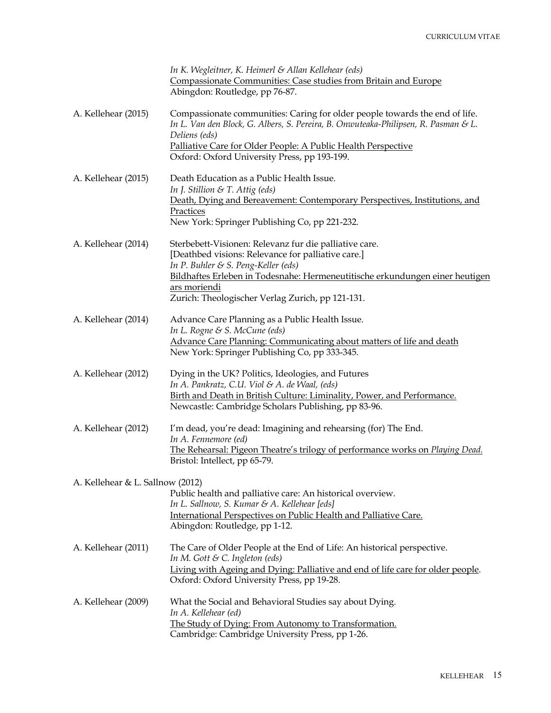|                                  | In K. Wegleitner, K. Heimerl & Allan Kellehear (eds)                                                                                                                                                                                                                                                    |
|----------------------------------|---------------------------------------------------------------------------------------------------------------------------------------------------------------------------------------------------------------------------------------------------------------------------------------------------------|
|                                  | Compassionate Communities: Case studies from Britain and Europe                                                                                                                                                                                                                                         |
|                                  | Abingdon: Routledge, pp 76-87.                                                                                                                                                                                                                                                                          |
| A. Kellehear (2015)              | Compassionate communities: Caring for older people towards the end of life.<br>In L. Van den Block, G. Albers, S. Pereira, B. Onwuteaka-Philipsen, R. Pasman & L.<br>Deliens (eds)<br>Palliative Care for Older People: A Public Health Perspective<br>Oxford: Oxford University Press, pp 193-199.     |
| A. Kellehear (2015)              | Death Education as a Public Health Issue.<br>In J. Stillion & T. Attig (eds)<br>Death, Dying and Bereavement: Contemporary Perspectives, Institutions, and<br>Practices<br>New York: Springer Publishing Co, pp 221-232.                                                                                |
| A. Kellehear (2014)              | Sterbebett-Visionen: Relevanz fur die palliative care.<br>[Deathbed visions: Relevance for palliative care.]<br>In P. Buhler & S. Peng-Keller (eds)<br>Bildhaftes Erleben in Todesnahe: Hermeneutitische erkundungen einer heutigen<br>ars moriendi<br>Zurich: Theologischer Verlag Zurich, pp 121-131. |
| A. Kellehear (2014)              | Advance Care Planning as a Public Health Issue.<br>In L. Rogne & S. McCune (eds)<br>Advance Care Planning: Communicating about matters of life and death<br>New York: Springer Publishing Co, pp 333-345.                                                                                               |
| A. Kellehear (2012)              | Dying in the UK? Politics, Ideologies, and Futures<br>In A. Pankratz, C.U. Viol & A. de Waal, (eds)<br>Birth and Death in British Culture: Liminality, Power, and Performance.<br>Newcastle: Cambridge Scholars Publishing, pp 83-96.                                                                   |
| A. Kellehear (2012)              | I'm dead, you're dead: Imagining and rehearsing (for) The End.<br>In A. Fennemore (ed)<br>The Rehearsal: Pigeon Theatre's trilogy of performance works on Playing Dead.<br>Bristol: Intellect, pp 65-79.                                                                                                |
| A. Kellehear & L. Sallnow (2012) | Public health and palliative care: An historical overview.<br>In L. Sallnow, S. Kumar & A. Kellehear [eds]<br>International Perspectives on Public Health and Palliative Care.<br>Abingdon: Routledge, pp 1-12.                                                                                         |
| A. Kellehear (2011)              | The Care of Older People at the End of Life: An historical perspective.<br>In M. Gott & C. Ingleton (eds)<br>Living with Ageing and Dying: Palliative and end of life care for older people.<br>Oxford: Oxford University Press, pp 19-28.                                                              |
| A. Kellehear (2009)              | What the Social and Behavioral Studies say about Dying.<br>In A. Kellehear (ed)<br>The Study of Dying: From Autonomy to Transformation.<br>Cambridge: Cambridge University Press, pp 1-26.                                                                                                              |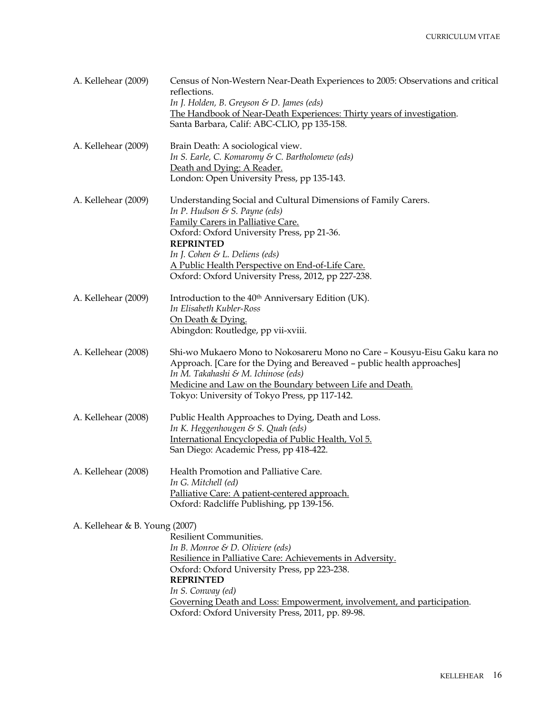| A. Kellehear (2009)            | Census of Non-Western Near-Death Experiences to 2005: Observations and critical<br>reflections.<br>In J. Holden, B. Greyson & D. James (eds)<br>The Handbook of Near-Death Experiences: Thirty years of investigation.<br>Santa Barbara, Calif: ABC-CLIO, pp 135-158.                                                                                         |
|--------------------------------|---------------------------------------------------------------------------------------------------------------------------------------------------------------------------------------------------------------------------------------------------------------------------------------------------------------------------------------------------------------|
| A. Kellehear (2009)            | Brain Death: A sociological view.<br>In S. Earle, C. Komaromy & C. Bartholomew (eds)<br>Death and Dying: A Reader.<br>London: Open University Press, pp 135-143.                                                                                                                                                                                              |
| A. Kellehear (2009)            | Understanding Social and Cultural Dimensions of Family Carers.<br>In P. Hudson $\mathcal E$ S. Payne (eds)<br>Family Carers in Palliative Care.<br>Oxford: Oxford University Press, pp 21-36.<br><b>REPRINTED</b><br>In J. Cohen & L. Deliens (eds)<br>A Public Health Perspective on End-of-Life Care.<br>Oxford: Oxford University Press, 2012, pp 227-238. |
| A. Kellehear (2009)            | Introduction to the 40 <sup>th</sup> Anniversary Edition (UK).<br>In Elisabeth Kubler-Ross<br>On Death & Dying.<br>Abingdon: Routledge, pp vii-xviii.                                                                                                                                                                                                         |
| A. Kellehear (2008)            | Shi-wo Mukaero Mono to Nokosareru Mono no Care - Kousyu-Eisu Gaku kara no<br>Approach. [Care for the Dying and Bereaved - public health approaches]<br>In M. Takahashi & M. Ichinose (eds)<br>Medicine and Law on the Boundary between Life and Death.<br>Tokyo: University of Tokyo Press, pp 117-142.                                                       |
| A. Kellehear (2008)            | Public Health Approaches to Dying, Death and Loss.<br>In K. Heggenhougen & S. Quah (eds)<br>International Encyclopedia of Public Health, Vol 5.<br>San Diego: Academic Press, pp 418-422.                                                                                                                                                                     |
| A. Kellehear (2008)            | Health Promotion and Palliative Care.<br>In G. Mitchell (ed)<br>Palliative Care: A patient-centered approach.<br>Oxford: Radcliffe Publishing, pp 139-156.                                                                                                                                                                                                    |
| A. Kellehear & B. Young (2007) | <b>Resilient Communities.</b><br>In B. Monroe & D. Oliviere (eds)<br>Resilience in Palliative Care: Achievements in Adversity.<br>Oxford: Oxford University Press, pp 223-238.<br><b>REPRINTED</b><br>In S. Conway (ed)<br>Governing Death and Loss: Empowerment, involvement, and participation.<br>Oxford: Oxford University Press, 2011, pp. 89-98.        |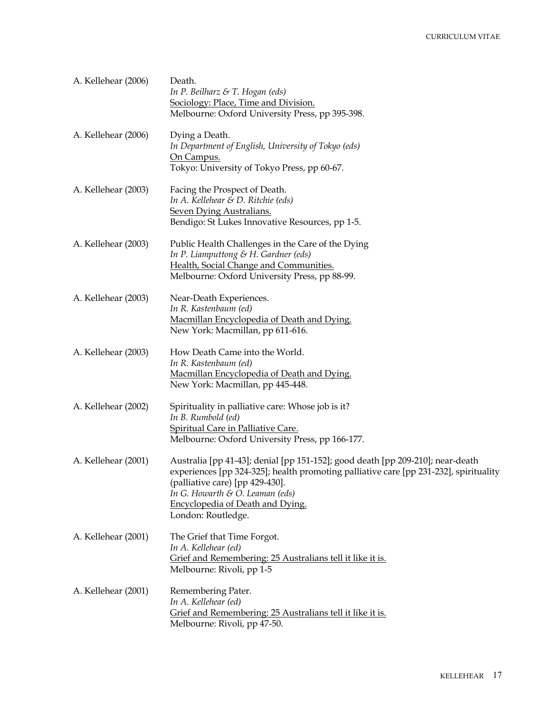| A. Kellehear (2006) | Death.<br>In P. Beilharz & T. Hogan (eds)<br>Sociology: Place, Time and Division.<br>Melbourne: Oxford University Press, pp 395-398.                                                                                                                                                                               |
|---------------------|--------------------------------------------------------------------------------------------------------------------------------------------------------------------------------------------------------------------------------------------------------------------------------------------------------------------|
| A. Kellehear (2006) | Dying a Death.<br>In Department of English, University of Tokyo (eds)<br>On Campus.<br>Tokyo: University of Tokyo Press, pp 60-67.                                                                                                                                                                                 |
| A. Kellehear (2003) | Facing the Prospect of Death.<br>In A. Kellehear & D. Ritchie (eds)<br><b>Seven Dying Australians.</b><br>Bendigo: St Lukes Innovative Resources, pp 1-5.                                                                                                                                                          |
| A. Kellehear (2003) | Public Health Challenges in the Care of the Dying<br>In P. Liamputtong & H. Gardner (eds)<br>Health, Social Change and Communities.<br>Melbourne: Oxford University Press, pp 88-99.                                                                                                                               |
| A. Kellehear (2003) | Near-Death Experiences.<br>In R. Kastenbaum (ed)<br>Macmillan Encyclopedia of Death and Dying.<br>New York: Macmillan, pp 611-616.                                                                                                                                                                                 |
| A. Kellehear (2003) | How Death Came into the World.<br>In R. Kastenbaum (ed)<br>Macmillan Encyclopedia of Death and Dying.<br>New York: Macmillan, pp 445-448.                                                                                                                                                                          |
| A. Kellehear (2002) | Spirituality in palliative care: Whose job is it?<br>In B. Rumbold (ed)<br>Spiritual Care in Palliative Care.<br>Melbourne: Oxford University Press, pp 166-177.                                                                                                                                                   |
| A. Kellehear (2001) | Australia [pp 41-43]; denial [pp 151-152]; good death [pp 209-210]; near-death<br>experiences [pp 324-325]; health promoting palliative care [pp 231-232], spirituality<br>(palliative care) [pp 429-430].<br>In G. Howarth $\mathcal E$ O. Leaman (eds)<br>Encyclopedia of Death and Dying.<br>London: Routledge. |
| A. Kellehear (2001) | The Grief that Time Forgot.<br>In A. Kellehear (ed)<br>Grief and Remembering: 25 Australians tell it like it is.<br>Melbourne: Rivoli, pp 1-5                                                                                                                                                                      |
| A. Kellehear (2001) | Remembering Pater.<br>In A. Kellehear (ed)<br>Grief and Remembering: 25 Australians tell it like it is.<br>Melbourne: Rivoli, pp 47-50.                                                                                                                                                                            |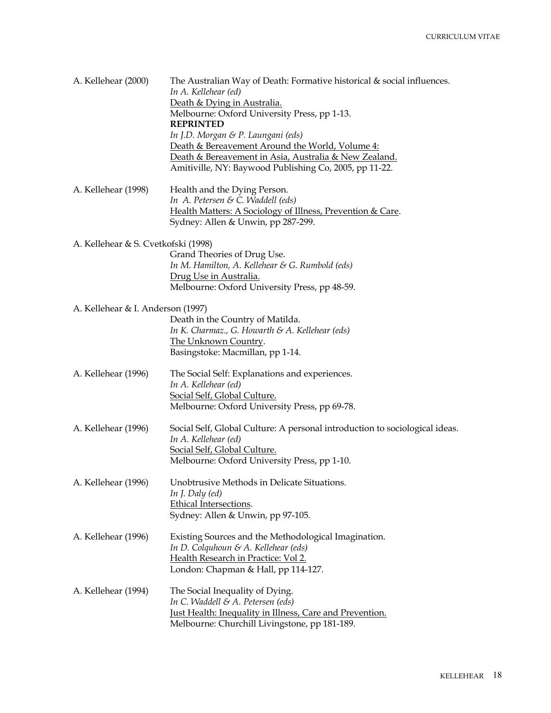| A. Kellehear (2000)                 | The Australian Way of Death: Formative historical $\&$ social influences.<br>In A. Kellehear (ed) |
|-------------------------------------|---------------------------------------------------------------------------------------------------|
|                                     | Death & Dying in Australia.                                                                       |
|                                     | Melbourne: Oxford University Press, pp 1-13.                                                      |
|                                     | <b>REPRINTED</b>                                                                                  |
|                                     | In J.D. Morgan & P. Laungani (eds)                                                                |
|                                     | Death & Bereavement Around the World, Volume 4:                                                   |
|                                     | Death & Bereavement in Asia, Australia & New Zealand.                                             |
|                                     | Amitiville, NY: Baywood Publishing Co, 2005, pp 11-22.                                            |
| A. Kellehear (1998)                 | Health and the Dying Person.                                                                      |
|                                     | In A. Petersen & C. Waddell (eds)                                                                 |
|                                     | Health Matters: A Sociology of Illness, Prevention & Care.                                        |
|                                     | Sydney: Allen & Unwin, pp 287-299.                                                                |
| A. Kellehear & S. Cvetkofski (1998) |                                                                                                   |
|                                     | Grand Theories of Drug Use.                                                                       |
|                                     | In M. Hamilton, A. Kellehear & G. Rumbold (eds)                                                   |
|                                     | Drug Use in Australia.                                                                            |
|                                     | Melbourne: Oxford University Press, pp 48-59.                                                     |
| A. Kellehear & I. Anderson (1997)   |                                                                                                   |
|                                     | Death in the Country of Matilda.                                                                  |
|                                     | In K. Charmaz., G. Howarth & A. Kellehear (eds)                                                   |
|                                     | The Unknown Country.                                                                              |
|                                     | Basingstoke: Macmillan, pp 1-14.                                                                  |
| A. Kellehear (1996)                 | The Social Self: Explanations and experiences.                                                    |
|                                     | In A. Kellehear (ed)                                                                              |
|                                     | Social Self, Global Culture.                                                                      |
|                                     | Melbourne: Oxford University Press, pp 69-78.                                                     |
| A. Kellehear (1996)                 | Social Self, Global Culture: A personal introduction to sociological ideas.                       |
|                                     | In A. Kellehear (ed)                                                                              |
|                                     | Social Self, Global Culture.                                                                      |
|                                     | Melbourne: Oxford University Press, pp 1-10.                                                      |
| A. Kellehear (1996)                 | Unobtrusive Methods in Delicate Situations.                                                       |
|                                     | In J. Daly $(ed)$                                                                                 |
|                                     | <b>Ethical Intersections.</b>                                                                     |
|                                     | Sydney: Allen & Unwin, pp 97-105.                                                                 |
| A. Kellehear (1996)                 | Existing Sources and the Methodological Imagination.                                              |
|                                     | In D. Colquhoun & A. Kellehear (eds)                                                              |
|                                     | Health Research in Practice: Vol 2.                                                               |
|                                     | London: Chapman & Hall, pp 114-127.                                                               |
| A. Kellehear (1994)                 | The Social Inequality of Dying.                                                                   |
|                                     | In C. Waddell & A. Petersen (eds)                                                                 |
|                                     | <b>Just Health: Inequality in Illness, Care and Prevention.</b>                                   |
|                                     | Melbourne: Churchill Livingstone, pp 181-189.                                                     |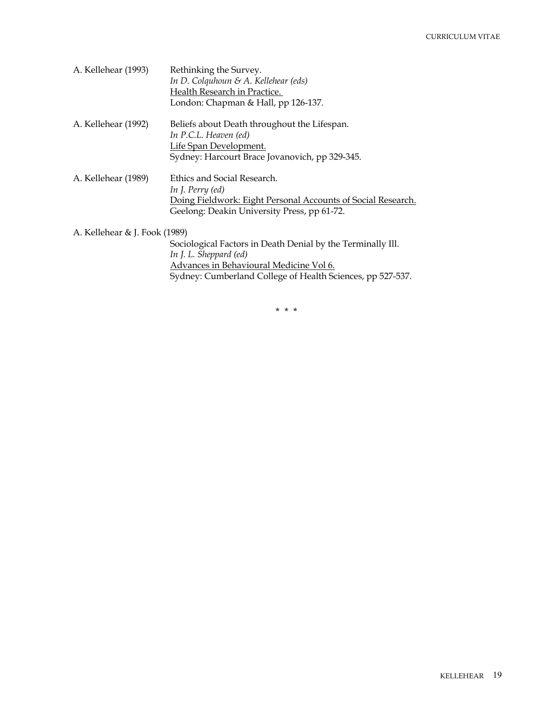| A. Kellehear (1993)           | Rethinking the Survey.<br>In D. Colquhoun & A. Kellehear (eds)<br>Health Research in Practice.<br>London: Chapman & Hall, pp 126-137.                                                          |
|-------------------------------|------------------------------------------------------------------------------------------------------------------------------------------------------------------------------------------------|
| A. Kellehear (1992)           | Beliefs about Death throughout the Lifespan.<br>In P.C.L. Heaven (ed)<br>Life Span Development.<br>Sydney: Harcourt Brace Jovanovich, pp 329-345.                                              |
| A. Kellehear (1989)           | Ethics and Social Research.<br>In J. Perry (ed)<br>Doing Fieldwork: Eight Personal Accounts of Social Research.<br>Geelong: Deakin University Press, pp 61-72.                                 |
| A. Kellehear & J. Fook (1989) | Sociological Factors in Death Denial by the Terminally Ill.<br>In J. L. Sheppard (ed)<br>Advances in Behavioural Medicine Vol 6.<br>Sydney: Cumberland College of Health Sciences, pp 527-537. |

\* \* \*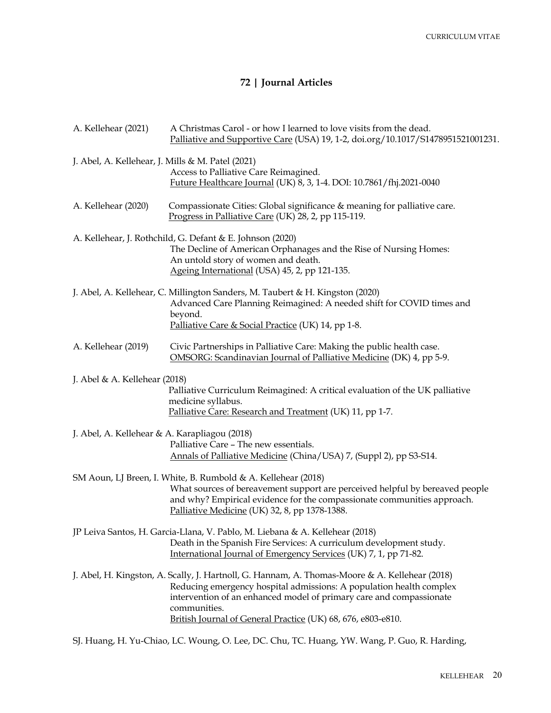# **72 | Journal Articles**

| A. Kellehear (2021)                               | A Christmas Carol - or how I learned to love visits from the dead.<br>Palliative and Supportive Care (USA) 19, 1-2, doi.org/10.1017/S1478951521001231.                                                                                                                                                                       |
|---------------------------------------------------|------------------------------------------------------------------------------------------------------------------------------------------------------------------------------------------------------------------------------------------------------------------------------------------------------------------------------|
| J. Abel, A. Kellehear, J. Mills & M. Patel (2021) | Access to Palliative Care Reimagined.<br>Future Healthcare Journal (UK) 8, 3, 1-4. DOI: 10.7861/fhj.2021-0040                                                                                                                                                                                                                |
| A. Kellehear (2020)                               | Compassionate Cities: Global significance & meaning for palliative care.<br>Progress in Palliative Care (UK) 28, 2, pp 115-119.                                                                                                                                                                                              |
|                                                   | A. Kellehear, J. Rothchild, G. Defant & E. Johnson (2020)<br>The Decline of American Orphanages and the Rise of Nursing Homes:<br>An untold story of women and death.<br>Ageing International (USA) 45, 2, pp 121-135.                                                                                                       |
|                                                   | J. Abel, A. Kellehear, C. Millington Sanders, M. Taubert & H. Kingston (2020)<br>Advanced Care Planning Reimagined: A needed shift for COVID times and<br>beyond.<br>Palliative Care & Social Practice (UK) 14, pp 1-8.                                                                                                      |
| A. Kellehear (2019)                               | Civic Partnerships in Palliative Care: Making the public health case.<br>OMSORG: Scandinavian Journal of Palliative Medicine (DK) 4, pp 5-9.                                                                                                                                                                                 |
| J. Abel & A. Kellehear (2018)                     | Palliative Curriculum Reimagined: A critical evaluation of the UK palliative<br>medicine syllabus.<br>Palliative Care: Research and Treatment (UK) 11, pp 1-7.                                                                                                                                                               |
| J. Abel, A. Kellehear & A. Karapliagou (2018)     | Palliative Care - The new essentials.<br>Annals of Palliative Medicine (China/USA) 7, (Suppl 2), pp S3-S14.                                                                                                                                                                                                                  |
|                                                   | SM Aoun, LJ Breen, I. White, B. Rumbold & A. Kellehear (2018)<br>What sources of bereavement support are perceived helpful by bereaved people<br>and why? Empirical evidence for the compassionate communities approach.<br>Palliative Medicine (UK) 32, 8, pp 1378-1388.                                                    |
|                                                   | JP Leiva Santos, H. Garcia-Llana, V. Pablo, M. Liebana & A. Kellehear (2018)<br>Death in the Spanish Fire Services: A curriculum development study.<br>International Journal of Emergency Services (UK) 7, 1, pp 71-82.                                                                                                      |
|                                                   | J. Abel, H. Kingston, A. Scally, J. Hartnoll, G. Hannam, A. Thomas-Moore & A. Kellehear (2018)<br>Reducing emergency hospital admissions: A population health complex<br>intervention of an enhanced model of primary care and compassionate<br>communities.<br>British Journal of General Practice (UK) 68, 676, e803-e810. |
|                                                   | SJ. Huang, H. Yu-Chiao, LC. Woung, O. Lee, DC. Chu, TC. Huang, YW. Wang, P. Guo, R. Harding,                                                                                                                                                                                                                                 |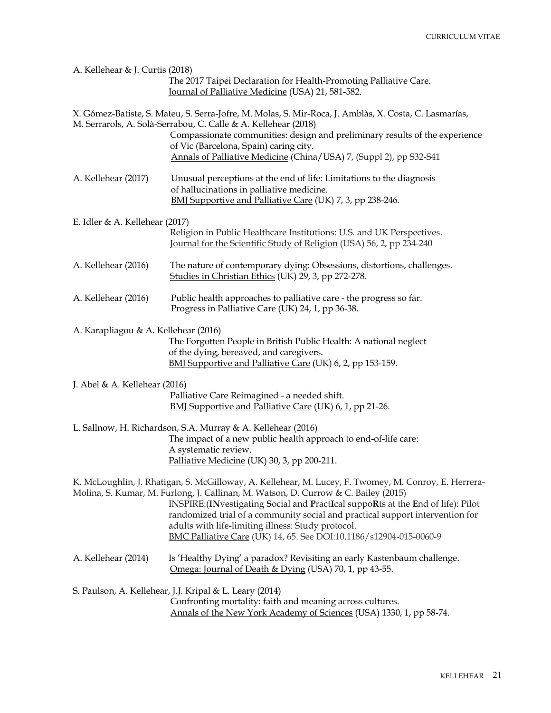| A. Kellehear & J. Curtis (2018)      | The 2017 Taipei Declaration for Health-Promoting Palliative Care.<br>Journal of Palliative Medicine (USA) 21, 581-582.                                                                                                                                                                                                                                                                                                                                                                      |
|--------------------------------------|---------------------------------------------------------------------------------------------------------------------------------------------------------------------------------------------------------------------------------------------------------------------------------------------------------------------------------------------------------------------------------------------------------------------------------------------------------------------------------------------|
|                                      | X. Gómez-Batiste, S. Mateu, S. Serra-Jofre, M. Molas, S. Mir-Roca, J. Amblàs, X. Costa, C. Lasmarías,<br>M. Serrarols, A. Solà-Serrabou, C. Calle & A. Kellehear (2018)<br>Compassionate communities: design and preliminary results of the experience<br>of Vic (Barcelona, Spain) caring city.<br>Annals of Palliative Medicine (China/USA) 7, (Suppl 2), pp S32-S41                                                                                                                      |
| A. Kellehear (2017)                  | Unusual perceptions at the end of life: Limitations to the diagnosis<br>of hallucinations in palliative medicine.<br>BMJ Supportive and Palliative Care (UK) 7, 3, pp 238-246.                                                                                                                                                                                                                                                                                                              |
| E. Idler & A. Kellehear $(2017)$     |                                                                                                                                                                                                                                                                                                                                                                                                                                                                                             |
|                                      | Religion in Public Healthcare Institutions: U.S. and UK Perspectives.<br>Journal for the Scientific Study of Religion (USA) 56, 2, pp 234-240                                                                                                                                                                                                                                                                                                                                               |
| A. Kellehear (2016)                  | The nature of contemporary dying: Obsessions, distortions, challenges.<br>Studies in Christian Ethics (UK) 29, 3, pp 272-278.                                                                                                                                                                                                                                                                                                                                                               |
| A. Kellehear (2016)                  | Public health approaches to palliative care - the progress so far.<br>Progress in Palliative Care (UK) 24, 1, pp 36-38.                                                                                                                                                                                                                                                                                                                                                                     |
| A. Karapliagou & A. Kellehear (2016) |                                                                                                                                                                                                                                                                                                                                                                                                                                                                                             |
|                                      | The Forgotten People in British Public Health: A national neglect<br>of the dying, bereaved, and caregivers.<br>BMJ Supportive and Palliative Care (UK) 6, 2, pp 153-159.                                                                                                                                                                                                                                                                                                                   |
| J. Abel & A. Kellehear (2016)        |                                                                                                                                                                                                                                                                                                                                                                                                                                                                                             |
|                                      | Palliative Care Reimagined - a needed shift.<br>BMJ Supportive and Palliative Care (UK) 6, 1, pp 21-26.                                                                                                                                                                                                                                                                                                                                                                                     |
|                                      | L. Sallnow, H. Richardson, S.A. Murray & A. Kellehear (2016)<br>The impact of a new public health approach to end-of-life care:<br>A systematic review.                                                                                                                                                                                                                                                                                                                                     |
|                                      | Palliative Medicine (UK) 30, 3, pp 200-211.                                                                                                                                                                                                                                                                                                                                                                                                                                                 |
|                                      | K. McLoughlin, J. Rhatigan, S. McGilloway, A. Kellehear, M. Lucey, F. Twomey, M. Conroy, E. Herrera-<br>Molina, S. Kumar, M. Furlong, J. Callinan, M. Watson, D. Currow & C. Bailey (2015)<br>INSPIRE: (INvestigating Social and PractIcal suppoRts at the End of life): Pilot<br>randomized trial of a community social and practical support intervention for<br>adults with life-limiting illness: Study protocol.<br>BMC Palliative Care (UK) 14, 65. See DOI:10.1186/s12904-015-0060-9 |
| A. Kellehear (2014)                  | Is 'Healthy Dying' a paradox? Revisiting an early Kastenbaum challenge.<br>Omega: Journal of Death & Dying (USA) 70, 1, pp 43-55.                                                                                                                                                                                                                                                                                                                                                           |
|                                      | S. Paulson, A. Kellehear, J.J. Kripal & L. Leary (2014)<br>Confronting mortality: faith and meaning across cultures.<br>Annals of the New York Academy of Sciences (USA) 1330, 1, pp 58-74.                                                                                                                                                                                                                                                                                                 |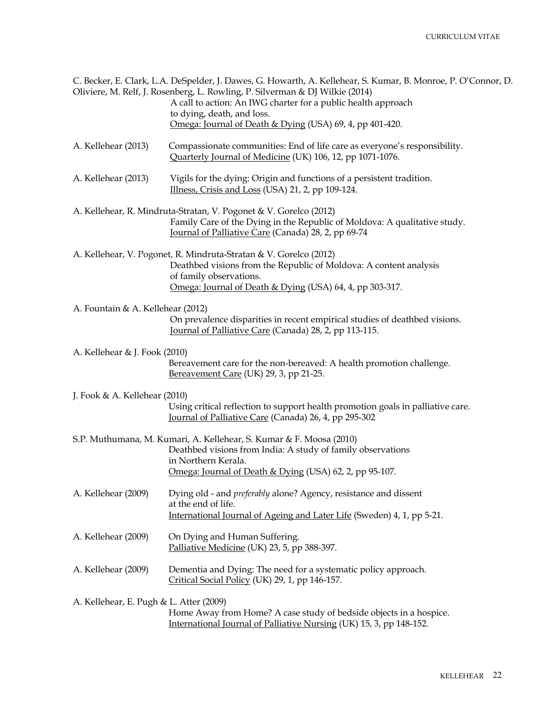|                                         | C. Becker, E. Clark, L.A. DeSpelder, J. Dawes, G. Howarth, A. Kellehear, S. Kumar, B. Monroe, P. O'Connor, D.<br>Oliviere, M. Relf, J. Rosenberg, L. Rowling, P. Silverman & DJ Wilkie (2014)<br>A call to action: An IWG charter for a public health approach |
|-----------------------------------------|----------------------------------------------------------------------------------------------------------------------------------------------------------------------------------------------------------------------------------------------------------------|
|                                         | to dying, death, and loss.<br>Omega: Journal of Death & Dying (USA) 69, 4, pp 401-420.                                                                                                                                                                         |
| A. Kellehear (2013)                     | Compassionate communities: End of life care as everyone's responsibility.<br>Quarterly Journal of Medicine (UK) 106, 12, pp 1071-1076.                                                                                                                         |
| A. Kellehear (2013)                     | Vigils for the dying: Origin and functions of a persistent tradition.<br>Illness, Crisis and Loss (USA) 21, 2, pp 109-124.                                                                                                                                     |
|                                         | A. Kellehear, R. Mindruta-Stratan, V. Pogonet & V. Gorelco (2012)<br>Family Care of the Dying in the Republic of Moldova: A qualitative study.<br>Journal of Palliative Care (Canada) 28, 2, pp 69-74                                                          |
|                                         | A. Kellehear, V. Pogonet, R. Mindruta-Stratan & V. Gorelco (2012)<br>Deathbed visions from the Republic of Moldova: A content analysis<br>of family observations.<br>Omega: Journal of Death & Dying (USA) 64, 4, pp 303-317.                                  |
| A. Fountain & A. Kellehear (2012)       | On prevalence disparities in recent empirical studies of deathbed visions.<br>Journal of Palliative Care (Canada) 28, 2, pp 113-115.                                                                                                                           |
| A. Kellehear & J. Fook (2010)           | Bereavement care for the non-bereaved: A health promotion challenge.<br>Bereavement Care (UK) 29, 3, pp 21-25.                                                                                                                                                 |
| J. Fook & A. Kellehear $(2010)$         | Using critical reflection to support health promotion goals in palliative care.<br>Journal of Palliative Care (Canada) 26, 4, pp 295-302                                                                                                                       |
|                                         | S.P. Muthumana, M. Kumari, A. Kellehear, S. Kumar & F. Moosa (2010)<br>Deathbed visions from India: A study of family observations<br>in Northern Kerala.<br>Omega: Journal of Death & Dying (USA) 62, 2, pp 95-107.                                           |
| A. Kellehear (2009)                     | Dying old - and <i>preferably</i> alone? Agency, resistance and dissent<br>at the end of life.<br>International Journal of Ageing and Later Life (Sweden) 4, 1, pp 5-21.                                                                                       |
| A. Kellehear (2009)                     | On Dying and Human Suffering.<br>Palliative Medicine (UK) 23, 5, pp 388-397.                                                                                                                                                                                   |
| A. Kellehear (2009)                     | Dementia and Dying: The need for a systematic policy approach.<br>Critical Social Policy (UK) 29, 1, pp 146-157.                                                                                                                                               |
| A. Kellehear, E. Pugh & L. Atter (2009) | Home Away from Home? A case study of bedside objects in a hospice.<br>International Journal of Palliative Nursing (UK) 15, 3, pp 148-152.                                                                                                                      |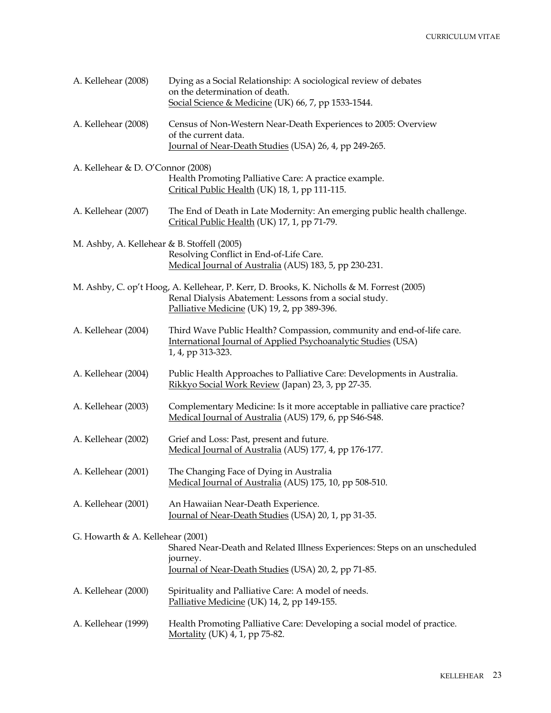| A. Kellehear (2008)                         | Dying as a Social Relationship: A sociological review of debates<br>on the determination of death.<br>Social Science & Medicine (UK) 66, 7, pp 1533-1544.                                          |
|---------------------------------------------|----------------------------------------------------------------------------------------------------------------------------------------------------------------------------------------------------|
| A. Kellehear (2008)                         | Census of Non-Western Near-Death Experiences to 2005: Overview<br>of the current data.<br>Journal of Near-Death Studies (USA) 26, 4, pp 249-265.                                                   |
| A. Kellehear & D. O'Connor (2008)           | Health Promoting Palliative Care: A practice example.<br>Critical Public Health (UK) 18, 1, pp 111-115.                                                                                            |
| A. Kellehear (2007)                         | The End of Death in Late Modernity: An emerging public health challenge.<br>Critical Public Health (UK) 17, 1, pp 71-79.                                                                           |
| M. Ashby, A. Kellehear & B. Stoffell (2005) | Resolving Conflict in End-of-Life Care.<br>Medical Journal of Australia (AUS) 183, 5, pp 230-231.                                                                                                  |
|                                             | M. Ashby, C. op't Hoog, A. Kellehear, P. Kerr, D. Brooks, K. Nicholls & M. Forrest (2005)<br>Renal Dialysis Abatement: Lessons from a social study.<br>Palliative Medicine (UK) 19, 2, pp 389-396. |
| A. Kellehear (2004)                         | Third Wave Public Health? Compassion, community and end-of-life care.<br>International Journal of Applied Psychoanalytic Studies (USA)<br>1, 4, pp 313-323.                                        |
| A. Kellehear (2004)                         | Public Health Approaches to Palliative Care: Developments in Australia.<br>Rikkyo Social Work Review (Japan) 23, 3, pp 27-35.                                                                      |
| A. Kellehear (2003)                         | Complementary Medicine: Is it more acceptable in palliative care practice?<br>Medical Journal of Australia (AUS) 179, 6, pp S46-S48.                                                               |
| A. Kellehear (2002)                         | Grief and Loss: Past, present and future.<br>Medical Journal of Australia (AUS) 177, 4, pp 176-177.                                                                                                |
| A. Kellehear (2001)                         | The Changing Face of Dying in Australia<br>Medical Journal of Australia (AUS) 175, 10, pp 508-510.                                                                                                 |
| A. Kellehear (2001)                         | An Hawaiian Near-Death Experience.<br>Journal of Near-Death Studies (USA) 20, 1, pp 31-35.                                                                                                         |
| G. Howarth & A. Kellehear (2001)            | Shared Near-Death and Related Illness Experiences: Steps on an unscheduled<br>journey.<br>Journal of Near-Death Studies (USA) 20, 2, pp 71-85.                                                     |
| A. Kellehear (2000)                         | Spirituality and Palliative Care: A model of needs.<br>Palliative Medicine (UK) 14, 2, pp 149-155.                                                                                                 |
| A. Kellehear (1999)                         | Health Promoting Palliative Care: Developing a social model of practice.<br>Mortality (UK) 4, 1, pp 75-82.                                                                                         |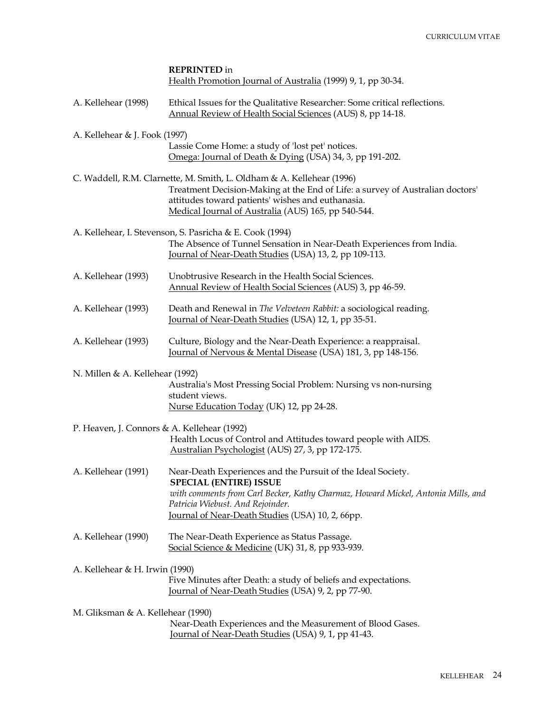|                                             | <b>REPRINTED</b> in<br>Health Promotion Journal of Australia (1999) 9, 1, pp 30-34.                                                                                                                                                                                       |  |
|---------------------------------------------|---------------------------------------------------------------------------------------------------------------------------------------------------------------------------------------------------------------------------------------------------------------------------|--|
| A. Kellehear (1998)                         | Ethical Issues for the Qualitative Researcher: Some critical reflections.<br>Annual Review of Health Social Sciences (AUS) 8, pp 14-18.                                                                                                                                   |  |
| A. Kellehear & J. Fook (1997)               |                                                                                                                                                                                                                                                                           |  |
|                                             | Lassie Come Home: a study of 'lost pet' notices.<br>Omega: Journal of Death & Dying (USA) 34, 3, pp 191-202.                                                                                                                                                              |  |
|                                             | C. Waddell, R.M. Clarnette, M. Smith, L. Oldham & A. Kellehear (1996)<br>Treatment Decision-Making at the End of Life: a survey of Australian doctors'<br>attitudes toward patients' wishes and euthanasia.<br>Medical Journal of Australia (AUS) 165, pp 540-544.        |  |
|                                             | A. Kellehear, I. Stevenson, S. Pasricha & E. Cook (1994)<br>The Absence of Tunnel Sensation in Near-Death Experiences from India.<br>Journal of Near-Death Studies (USA) 13, 2, pp 109-113.                                                                               |  |
| A. Kellehear (1993)                         | Unobtrusive Research in the Health Social Sciences.<br>Annual Review of Health Social Sciences (AUS) 3, pp 46-59.                                                                                                                                                         |  |
| A. Kellehear (1993)                         | Death and Renewal in The Velveteen Rabbit: a sociological reading.<br>Journal of Near-Death Studies (USA) 12, 1, pp 35-51.                                                                                                                                                |  |
| A. Kellehear (1993)                         | Culture, Biology and the Near-Death Experience: a reappraisal.<br>Journal of Nervous & Mental Disease (USA) 181, 3, pp 148-156.                                                                                                                                           |  |
| N. Millen & A. Kellehear (1992)             | Australia's Most Pressing Social Problem: Nursing vs non-nursing<br>student views.<br>Nurse Education Today (UK) 12, pp 24-28.                                                                                                                                            |  |
| P. Heaven, J. Connors & A. Kellehear (1992) | Health Locus of Control and Attitudes toward people with AIDS.<br>Australian Psychologist (AUS) 27, 3, pp 172-175.                                                                                                                                                        |  |
| A. Kellehear (1991)                         | Near-Death Experiences and the Pursuit of the Ideal Society.<br><b>SPECIAL (ENTIRE) ISSUE</b><br>with comments from Carl Becker, Kathy Charmaz, Howard Mickel, Antonia Mills, and<br>Patricia Wiebust. And Rejoinder.<br>Journal of Near-Death Studies (USA) 10, 2, 66pp. |  |
| A. Kellehear (1990)                         | The Near-Death Experience as Status Passage.<br>Social Science & Medicine (UK) 31, 8, pp 933-939.                                                                                                                                                                         |  |
| A. Kellehear & H. Irwin (1990)              | Five Minutes after Death: a study of beliefs and expectations.<br><u>Journal of Near-Death Studies</u> (USA) 9, 2, pp 77-90.                                                                                                                                              |  |
| M. Gliksman & A. Kellehear (1990)           | Near-Death Experiences and the Measurement of Blood Gases.<br><u>Journal of Near-Death Studies</u> (USA) 9, 1, pp 41-43.                                                                                                                                                  |  |